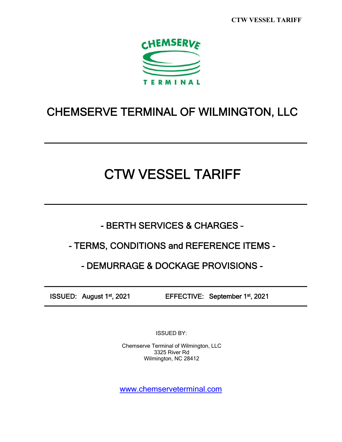**CTW VESSEL TARIFF**



# CHEMSERVE TERMINAL OF WILMINGTON, LLC

# CTW VESSEL TARIFF

- BERTH SERVICES & CHARGES –

# - TERMS, CONDITIONS and REFERENCE ITEMS -

# - DEMURRAGE & DOCKAGE PROVISIONS -

ISSUED: August 1st, 2021 EFFECTIVE: September 1st, 2021

ISSUED BY:

Chemserve Terminal of Wilmington, LLC 3325 River Rd Wilmington, NC 28412

www.chemserveterminal.com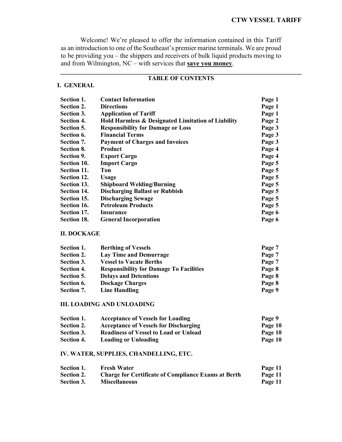Welcome! We're pleased to offer the information contained in this Tariff as an introduction to one of the Southeast's premier marine terminals. We are proud to be providing you – the shippers and receivers of bulk liquid products moving to and from Wilmington, NC – with services that **save you money**.

#### **\_\_\_\_\_\_\_\_\_\_\_\_\_\_\_\_\_\_\_\_\_\_\_\_\_\_\_\_\_\_\_\_\_\_\_\_\_\_\_\_\_\_\_\_\_\_\_\_\_\_\_\_\_\_\_\_\_\_\_\_\_\_\_\_\_\_\_\_\_\_\_\_ TABLE OF CONTENTS**

#### **I. GENERAL**

| <b>Section 1.</b>  | <b>Contact Information</b>                         | Page 1 |
|--------------------|----------------------------------------------------|--------|
| Section 2.         | <b>Directions</b>                                  | Page 1 |
| Section 3.         | <b>Application of Tariff</b>                       | Page 1 |
| <b>Section 4.</b>  | Hold Harmless & Designated Limitation of Liability | Page 2 |
| Section 5.         | <b>Responsibility for Damage or Loss</b>           | Page 3 |
| Section 6.         | <b>Financial Terms</b>                             | Page 3 |
| Section 7.         | <b>Payment of Charges and Invoices</b>             | Page 3 |
| <b>Section 8.</b>  | Product                                            | Page 4 |
| Section 9.         | <b>Export Cargo</b>                                | Page 4 |
| <b>Section 10.</b> | <b>Import Cargo</b>                                | Page 5 |
| Section 11.        | Ton                                                | Page 5 |
| Section 12.        | Usage                                              | Page 5 |
| Section 13.        | <b>Shipboard Welding/Burning</b>                   | Page 5 |
| Section 14.        | <b>Discharging Ballast or Rubbish</b>              | Page 5 |
| Section 15.        | <b>Discharging Sewage</b>                          | Page 5 |
| Section 16.        | <b>Petroleum Products</b>                          | Page 5 |
| Section 17.        | <b>Insurance</b>                                   | Page 6 |
| Section 18.        | <b>General Incorporation</b>                       | Page 6 |

#### **II. DOCKAGE**

| Section 1. | <b>Berthing of Vessels</b>                     | Page 7 |
|------------|------------------------------------------------|--------|
| Section 2. | <b>Lay Time and Demurrage</b>                  | Page 7 |
| Section 3. | <b>Vessel to Vacate Berths</b>                 | Page 7 |
| Section 4. | <b>Responsibility for Damage To Facilities</b> | Page 8 |
| Section 5. | <b>Delays and Detentions</b>                   | Page 8 |
| Section 6. | <b>Dockage Charges</b>                         | Page 8 |
| Section 7. | <b>Line Handling</b>                           | Page 9 |

#### **III. LOADING AND UNLOADING**

| Section 1. | <b>Acceptance of Vessels for Loading</b>     | Page 9  |
|------------|----------------------------------------------|---------|
| Section 2. | <b>Acceptance of Vessels for Discharging</b> | Page 10 |
| Section 3. | <b>Readiness of Vessel to Load or Unload</b> | Page 10 |
| Section 4. | Loading or Unloading                         | Page 10 |

#### **IV. WATER, SUPPLIES, CHANDELLING, ETC.**

| Section 1. | <b>Fresh Water</b>                                         | Page 11 |
|------------|------------------------------------------------------------|---------|
| Section 2. | <b>Charge for Certificate of Compliance Exams at Berth</b> | Page 11 |
| Section 3. | <b>Miscellaneous</b>                                       | Page 11 |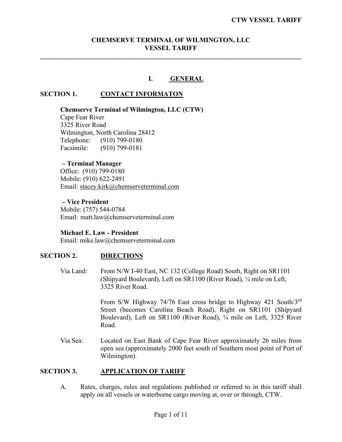# **CHEMSERVE TERMINAL OF WILMINGTON, LLC VESSEL TARIFF**

**\_\_\_\_\_\_\_\_\_\_\_\_\_\_\_\_\_\_\_\_\_\_\_\_\_\_\_\_\_\_\_\_\_\_\_\_\_\_\_\_\_\_\_\_\_\_\_\_\_\_\_\_\_\_\_\_\_\_\_\_\_\_\_\_\_\_\_\_\_\_\_\_\_\_\_\_\_\_**

#### **I. GENERAL**

# **SECTION 1. CONTACT INFORMATON**

# **Chemserve Terminal of Wilmington, LLC (CTW)**

Cape Fear River 3325 River Road Wilmington, North Carolina 28412 Telephone: (910) 799-0180<br>Facsimile: (910) 799-0181  $(910)$  799-0181

# **– Terminal Manager**

Office: (910) 799-0180 Mobile: (910) 622-2491 Email: stacey.kirk@chemserveterminal.com

#### **– Vice President** Mobile: (757) 544-0784 Email: matt.law@chemserveterminal.com

#### **Michael E. Law - President**

Email: mike.law@chemserveterminal.com

#### **SECTION 2. DIRECTIONS**

Via Land: From N/W I-40 East, NC 132 (College Road) South, Right on SR1101 (Shipyard Boulevard), Left on SR1100 (River Road), ¼ mile on Left, 3325 River Road.

> From S/W Highway 74/76 East cross bridge to Highway 421 South/3rd Street (becomes Carolina Beach Road), Right on SR1101 (Shipyard Boulevard), Left on SR1100 (River Road), ¼ mile on Left, 3325 River Road.

Via Sea: Located on East Bank of Cape Fear River approximately 26 miles from open sea (approximately 2000 feet south of Southern most point of Port of Wilmington).

#### **SECTION 3. APPLICATION OF TARIFF**

A. Rates, charges, rules and regulations published or referred to in this tariff shall apply on all vessels or waterborne cargo moving at, over or through, CTW.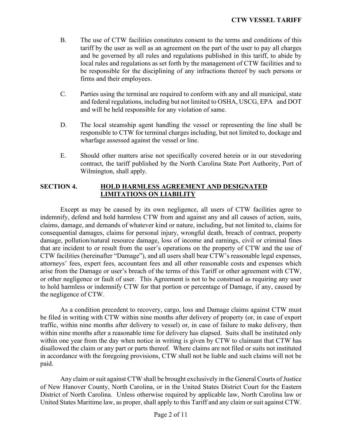- B. The use of CTW facilities constitutes consent to the terms and conditions of this tariff by the user as well as an agreement on the part of the user to pay all charges and be governed by all rules and regulations published in this tariff, to abide by local rules and regulations as set forth by the management of CTW facilities and to be responsible for the disciplining of any infractions thereof by such persons or firms and their employees.
- C. Parties using the terminal are required to conform with any and all municipal, state and federal regulations, including but not limited to OSHA, USCG, EPA and DOT and will be held responsible for any violation of same.
- D. The local steamship agent handling the vessel or representing the line shall be responsible to CTW for terminal charges including, but not limited to, dockage and wharfage assessed against the vessel or line.
- E. Should other matters arise not specifically covered herein or in our stevedoring contract, the tariff published by the North Carolina State Port Authority, Port of Wilmington, shall apply.

# **SECTION 4. HOLD HARMLESS AGREEMENT AND DESIGNATED LIMITATIONS ON LIABILITY**

Except as may be caused by its own negligence, all users of CTW facilities agree to indemnify, defend and hold harmless CTW from and against any and all causes of action, suits, claims, damage, and demands of whatever kind or nature, including, but not limited to, claims for consequential damages, claims for personal injury, wrongful death, breach of contract, property damage, pollution/natural resource damage, loss of income and earnings, civil or criminal fines that are incident to or result from the user's operations on the property of CTW and the use of CTW facilities (hereinafter "Damage"), and all users shall bear CTW's reasonable legal expenses, attorneys' fees, expert fees, accountant fees and all other reasonable costs and expenses which arise from the Damage or user's breach of the terms of this Tariff or other agreement with CTW, or other negligence or fault of user. This Agreement is not to be construed as requiring any user to hold harmless or indemnify CTW for that portion or percentage of Damage, if any, caused by the negligence of CTW.

As a condition precedent to recovery, cargo, loss and Damage claims against CTW must be filed in writing with CTW within nine months after delivery of property (or, in case of export traffic, within nine months after delivery to vessel) or, in case of failure to make delivery, then within nine months after a reasonable time for delivery has elapsed. Suits shall be instituted only within one year from the day when notice in writing is given by CTW to claimant that CTW has disallowed the claim or any part or parts thereof. Where claims are not filed or suits not instituted in accordance with the foregoing provisions, CTW shall not be liable and such claims will not be paid.

Any claim or suit against CTW shall be brought exclusively in the General Courts of Justice of New Hanover County, North Carolina, or in the United States District Court for the Eastern District of North Carolina. Unless otherwise required by applicable law, North Carolina law or United States Maritime law, as proper, shall apply to this Tariff and any claim or suit against CTW.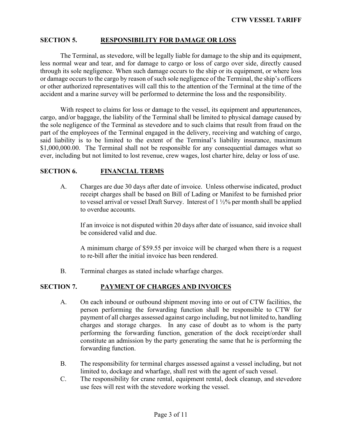# **SECTION 5. RESPONSIBILITY FOR DAMAGE OR LOSS**

The Terminal, as stevedore, will be legally liable for damage to the ship and its equipment, less normal wear and tear, and for damage to cargo or loss of cargo over side, directly caused through its sole negligence. When such damage occurs to the ship or its equipment, or where loss or damage occurs to the cargo by reason of such sole negligence of the Terminal, the ship's officers or other authorized representatives will call this to the attention of the Terminal at the time of the accident and a marine survey will be performed to determine the loss and the responsibility.

With respect to claims for loss or damage to the vessel, its equipment and appurtenances, cargo, and/or baggage, the liability of the Terminal shall be limited to physical damage caused by the sole negligence of the Terminal as stevedore and to such claims that result from fraud on the part of the employees of the Terminal engaged in the delivery, receiving and watching of cargo, said liability is to be limited to the extent of the Terminal's liability insurance, maximum \$1,000,000.00. The Terminal shall not be responsible for any consequential damages what so ever, including but not limited to lost revenue, crew wages, lost charter hire, delay or loss of use.

#### **SECTION 6. FINANCIAL TERMS**

A. Charges are due 30 days after date of invoice. Unless otherwise indicated, product receipt charges shall be based on Bill of Lading or Manifest to be furnished prior to vessel arrival or vessel Draft Survey. Interest of 1 ½% per month shall be applied to overdue accounts.

If an invoice is not disputed within 20 days after date of issuance, said invoice shall be considered valid and due.

A minimum charge of \$59.55 per invoice will be charged when there is a request to re-bill after the initial invoice has been rendered.

B. Terminal charges as stated include wharfage charges.

# **SECTION 7. PAYMENT OF CHARGES AND INVOICES**

- A. On each inbound or outbound shipment moving into or out of CTW facilities, the person performing the forwarding function shall be responsible to CTW for payment of all charges assessed against cargo including, but not limited to, handling charges and storage charges. In any case of doubt as to whom is the party performing the forwarding function, generation of the dock receipt/order shall constitute an admission by the party generating the same that he is performing the forwarding function.
- B. The responsibility for terminal charges assessed against a vessel including, but not limited to, dockage and wharfage, shall rest with the agent of such vessel.
- C. The responsibility for crane rental, equipment rental, dock cleanup, and stevedore use fees will rest with the stevedore working the vessel.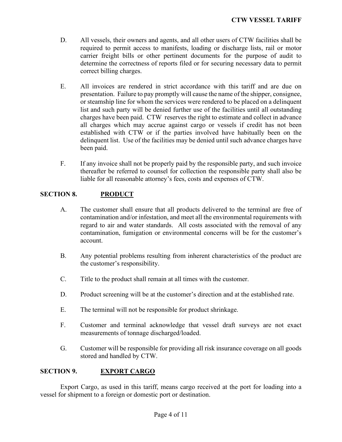- D. All vessels, their owners and agents, and all other users of CTW facilities shall be required to permit access to manifests, loading or discharge lists, rail or motor carrier freight bills or other pertinent documents for the purpose of audit to determine the correctness of reports filed or for securing necessary data to permit correct billing charges.
- E. All invoices are rendered in strict accordance with this tariff and are due on presentation. Failure to pay promptly will cause the name of the shipper, consignee, or steamship line for whom the services were rendered to be placed on a delinquent list and such party will be denied further use of the facilities until all outstanding charges have been paid. CTW reserves the right to estimate and collect in advance all charges which may accrue against cargo or vessels if credit has not been established with CTW or if the parties involved have habitually been on the delinquent list. Use of the facilities may be denied until such advance charges have been paid.
- F. If any invoice shall not be properly paid by the responsible party, and such invoice thereafter be referred to counsel for collection the responsible party shall also be liable for all reasonable attorney's fees, costs and expenses of CTW.

# **SECTION 8. PRODUCT**

- A. The customer shall ensure that all products delivered to the terminal are free of contamination and/or infestation, and meet all the environmental requirements with regard to air and water standards. All costs associated with the removal of any contamination, fumigation or environmental concerns will be for the customer's account.
- B. Any potential problems resulting from inherent characteristics of the product are the customer's responsibility.
- C. Title to the product shall remain at all times with the customer.
- D. Product screening will be at the customer's direction and at the established rate.
- E. The terminal will not be responsible for product shrinkage.
- F. Customer and terminal acknowledge that vessel draft surveys are not exact measurements of tonnage discharged/loaded.
- G. Customer will be responsible for providing all risk insurance coverage on all goods stored and handled by CTW.

# **SECTION 9. EXPORT CARGO**

Export Cargo, as used in this tariff, means cargo received at the port for loading into a vessel for shipment to a foreign or domestic port or destination.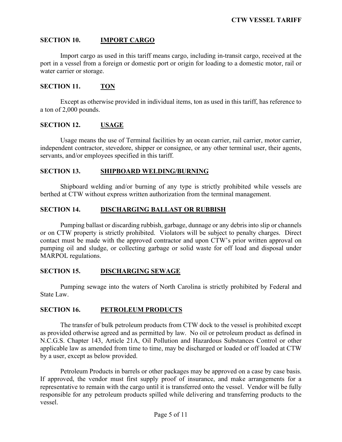# **SECTION 10. IMPORT CARGO**

Import cargo as used in this tariff means cargo, including in-transit cargo, received at the port in a vessel from a foreign or domestic port or origin for loading to a domestic motor, rail or water carrier or storage.

#### **SECTION 11. TON**

Except as otherwise provided in individual items, ton as used in this tariff, has reference to a ton of 2,000 pounds.

#### **SECTION 12. USAGE**

Usage means the use of Terminal facilities by an ocean carrier, rail carrier, motor carrier, independent contractor, stevedore, shipper or consignee, or any other terminal user, their agents, servants, and/or employees specified in this tariff.

#### **SECTION 13. SHIPBOARD WELDING/BURNING**

Shipboard welding and/or burning of any type is strictly prohibited while vessels are berthed at CTW without express written authorization from the terminal management.

#### **SECTION 14. DISCHARGING BALLAST OR RUBBISH**

Pumping ballast or discarding rubbish, garbage, dunnage or any debris into slip or channels or on CTW property is strictly prohibited. Violators will be subject to penalty charges. Direct contact must be made with the approved contractor and upon CTW's prior written approval on pumping oil and sludge, or collecting garbage or solid waste for off load and disposal under MARPOL regulations.

# **SECTION 15. DISCHARGING SEWAGE**

Pumping sewage into the waters of North Carolina is strictly prohibited by Federal and State Law.

# **SECTION 16. PETROLEUM PRODUCTS**

The transfer of bulk petroleum products from CTW dock to the vessel is prohibited except as provided otherwise agreed and as permitted by law. No oil or petroleum product as defined in N.C.G.S. Chapter 143, Article 21A, Oil Pollution and Hazardous Substances Control or other applicable law as amended from time to time, may be discharged or loaded or off loaded at CTW by a user, except as below provided.

Petroleum Products in barrels or other packages may be approved on a case by case basis. If approved, the vendor must first supply proof of insurance, and make arrangements for a representative to remain with the cargo until it is transferred onto the vessel. Vendor will be fully responsible for any petroleum products spilled while delivering and transferring products to the vessel.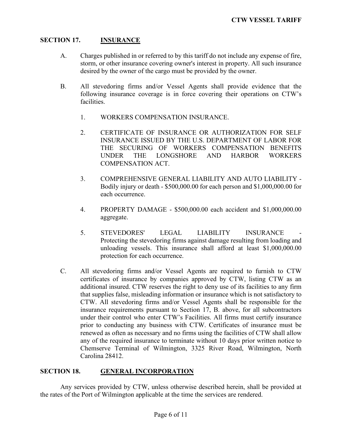# **SECTION 17. INSURANCE**

- A. Charges published in or referred to by this tariff do not include any expense of fire, storm, or other insurance covering owner's interest in property. All such insurance desired by the owner of the cargo must be provided by the owner.
- B. All stevedoring firms and/or Vessel Agents shall provide evidence that the following insurance coverage is in force covering their operations on CTW's facilities.
	- 1. WORKERS COMPENSATION INSURANCE.
	- 2. CERTIFICATE OF INSURANCE OR AUTHORIZATION FOR SELF INSURANCE ISSUED BY THE U.S. DEPARTMENT OF LABOR FOR THE SECURING OF WORKERS COMPENSATION BENEFITS UNDER THE LONGSHORE AND HARBOR WORKERS COMPENSATION ACT.
	- 3. COMPREHENSIVE GENERAL LIABILITY AND AUTO LIABILITY Bodily injury or death - \$500,000.00 for each person and \$1,000,000.00 for each occurrence.
	- 4. PROPERTY DAMAGE \$500,000.00 each accident and \$1,000,000.00 aggregate.
	- 5. STEVEDORES' LEGAL LIABILITY INSURANCE Protecting the stevedoring firms against damage resulting from loading and unloading vessels. This insurance shall afford at least \$1,000,000.00 protection for each occurrence.
- C. All stevedoring firms and/or Vessel Agents are required to furnish to CTW certificates of insurance by companies approved by CTW, listing CTW as an additional insured. CTW reserves the right to deny use of its facilities to any firm that supplies false, misleading information or insurance which is not satisfactory to CTW. All stevedoring firms and/or Vessel Agents shall be responsible for the insurance requirements pursuant to Section 17, B. above, for all subcontractors under their control who enter CTW's Facilities. All firms must certify insurance prior to conducting any business with CTW. Certificates of insurance must be renewed as often as necessary and no firms using the facilities of CTW shall allow any of the required insurance to terminate without 10 days prior written notice to Chemserve Terminal of Wilmington, 3325 River Road, Wilmington, North Carolina 28412.

# **SECTION 18. GENERAL INCORPORATION**

Any services provided by CTW, unless otherwise described herein, shall be provided at the rates of the Port of Wilmington applicable at the time the services are rendered.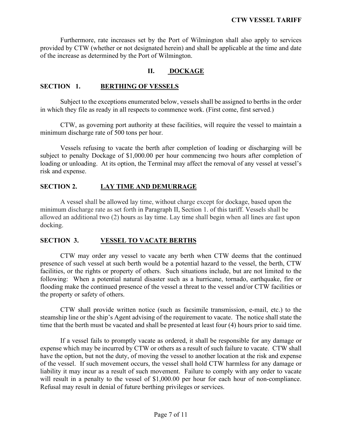Furthermore, rate increases set by the Port of Wilmington shall also apply to services provided by CTW (whether or not designated herein) and shall be applicable at the time and date of the increase as determined by the Port of Wilmington.

# **II. DOCKAGE**

#### **SECTION 1. BERTHING OF VESSELS**

Subject to the exceptions enumerated below, vessels shall be assigned to berths in the order in which they file as ready in all respects to commence work. (First come, first served.)

CTW, as governing port authority at these facilities, will require the vessel to maintain a minimum discharge rate of 500 tons per hour.

Vessels refusing to vacate the berth after completion of loading or discharging will be subject to penalty Dockage of \$1,000.00 per hour commencing two hours after completion of loading or unloading. At its option, the Terminal may affect the removal of any vessel at vessel's risk and expense.

# **SECTION 2. LAY TIME AND DEMURRAGE**

A vessel shall be allowed lay time, without charge except for dockage, based upon the minimum discharge rate as set forth in Paragraph II, Section 1. of this tariff. Vessels shall be allowed an additional two (2) hours as lay time. Lay time shall begin when all lines are fast upon docking.

# **SECTION 3. VESSEL TO VACATE BERTHS**

CTW may order any vessel to vacate any berth when CTW deems that the continued presence of such vessel at such berth would be a potential hazard to the vessel, the berth, CTW facilities, or the rights or property of others. Such situations include, but are not limited to the following: When a potential natural disaster such as a hurricane, tornado, earthquake, fire or flooding make the continued presence of the vessel a threat to the vessel and/or CTW facilities or the property or safety of others.

CTW shall provide written notice (such as facsimile transmission, e-mail, etc.) to the steamship line or the ship's Agent advising of the requirement to vacate. The notice shall state the time that the berth must be vacated and shall be presented at least four (4) hours prior to said time.

If a vessel fails to promptly vacate as ordered, it shall be responsible for any damage or expense which may be incurred by CTW or others as a result of such failure to vacate. CTW shall have the option, but not the duty, of moving the vessel to another location at the risk and expense of the vessel. If such movement occurs, the vessel shall hold CTW harmless for any damage or liability it may incur as a result of such movement. Failure to comply with any order to vacate will result in a penalty to the vessel of \$1,000.00 per hour for each hour of non-compliance. Refusal may result in denial of future berthing privileges or services.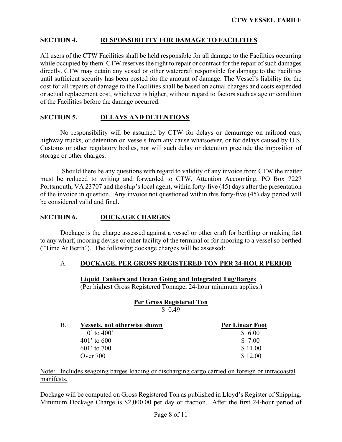# **SECTION 4. RESPONSIBILITY FOR DAMAGE TO FACILITIES**

All users of the CTW Facilities shall be held responsible for all damage to the Facilities occurring while occupied by them. CTW reserves the right to repair or contract for the repair of such damages directly. CTW may detain any vessel or other watercraft responsible for damage to the Facilities until sufficient security has been posted for the amount of damage. The Vessel's liability for the cost for all repairs of damage to the Facilities shall be based on actual charges and costs expended or actual replacement cost, whichever is higher, without regard to factors such as age or condition of the Facilities before the damage occurred.

## **SECTION 5. DELAYS AND DETENTIONS**

No responsibility will be assumed by CTW for delays or demurrage on railroad cars, highway trucks, or detention on vessels from any cause whatsoever, or for delays caused by U.S. Customs or other regulatory bodies, nor will such delay or detention preclude the imposition of storage or other charges.

Should there be any questions with regard to validity of any invoice from CTW the matter must be reduced to writing and forwarded to CTW, Attention Accounting, PO Box 7227 Portsmouth, VA 23707 and the ship's local agent, within forty-five (45) days after the presentation of the invoice in question. Any invoice not questioned within this forty-five (45) day period will be considered valid and final.

#### **SECTION 6. DOCKAGE CHARGES**

Dockage is the charge assessed against a vessel or other craft for berthing or making fast to any wharf, mooring devise or other facility of the terminal or for mooring to a vessel so berthed ("Time At Berth"). The following dockage charges will be assessed:

#### A. **DOCKAGE, PER GROSS REGISTERED TON PER 24-HOUR PERIOD**

#### **Liquid Tankers and Ocean Going and Integrated Tug/Barges**

(Per highest Gross Registered Tonnage, 24-hour minimum applies.)

# **Per Gross Registered Ton** \$ 0.49

| B.<br><b>Vessels, not otherwise shown</b> | <b>Per Linear Foot</b> |
|-------------------------------------------|------------------------|
| 0' to $400'$                              | \$6.00                 |
| $401'$ to 600                             | \$ 7.00                |
| $601'$ to 700                             | \$11.00                |
| Over $700$                                | \$12.00                |

Note: Includes seagoing barges loading or discharging cargo carried on foreign or intracoastal manifests.

Dockage will be computed on Gross Registered Ton as published in Lloyd's Register of Shipping. Minimum Dockage Charge is \$2,000.00 per day or fraction. After the first 24-hour period of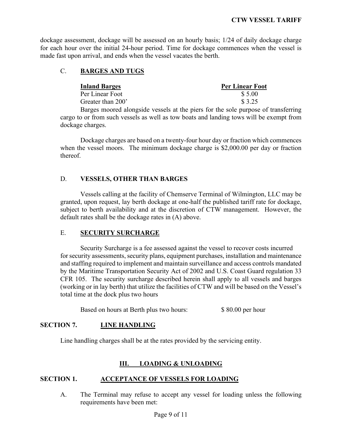dockage assessment, dockage will be assessed on an hourly basis; 1/24 of daily dockage charge for each hour over the initial 24-hour period. Time for dockage commences when the vessel is made fast upon arrival, and ends when the vessel vacates the berth.

# C. **BARGES AND TUGS**

| <b>Inland Barges</b> | <b>Per Linear Foot</b> |
|----------------------|------------------------|
| Per Linear Foot      | \$5.00                 |
| Greater than 200'    | \$ 3.25                |
|                      |                        |

Barges moored alongside vessels at the piers for the sole purpose of transferring cargo to or from such vessels as well as tow boats and landing tows will be exempt from dockage charges.

Dockage charges are based on a twenty-four hour day or fraction which commences when the vessel moors. The minimum dockage charge is \$2,000.00 per day or fraction thereof.

# D. **VESSELS, OTHER THAN BARGES**

Vessels calling at the facility of Chemserve Terminal of Wilmington, LLC may be granted, upon request, lay berth dockage at one-half the published tariff rate for dockage, subject to berth availability and at the discretion of CTW management. However, the default rates shall be the dockage rates in (A) above.

# E. **SECURITY SURCHARGE**

Security Surcharge is a fee assessed against the vessel to recover costs incurred for security assessments, security plans, equipment purchases, installation and maintenance and staffing required to implement and maintain surveillance and access controls mandated by the Maritime Transportation Security Act of 2002 and U.S. Coast Guard regulation 33 CFR 105. The security surcharge described herein shall apply to all vessels and barges (working or in lay berth) that utilize the facilities of CTW and will be based on the Vessel's total time at the dock plus two hours

Based on hours at Berth plus two hours: \$ 80.00 per hour

# **SECTION 7. LINE HANDLING**

Line handling charges shall be at the rates provided by the servicing entity.

# **III. LOADING & UNLOADING**

# **SECTION 1. ACCEPTANCE OF VESSELS FOR LOADING**

A. The Terminal may refuse to accept any vessel for loading unless the following requirements have been met: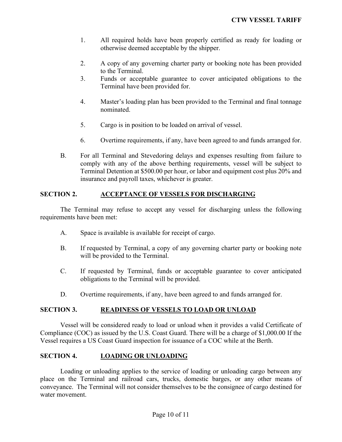- 1. All required holds have been properly certified as ready for loading or otherwise deemed acceptable by the shipper.
- 2. A copy of any governing charter party or booking note has been provided to the Terminal.
- 3. Funds or acceptable guarantee to cover anticipated obligations to the Terminal have been provided for.
- 4. Master's loading plan has been provided to the Terminal and final tonnage nominated.
- 5. Cargo is in position to be loaded on arrival of vessel.
- 6. Overtime requirements, if any, have been agreed to and funds arranged for.
- B. For all Terminal and Stevedoring delays and expenses resulting from failure to comply with any of the above berthing requirements, vessel will be subject to Terminal Detention at \$500.00 per hour, or labor and equipment cost plus 20% and insurance and payroll taxes, whichever is greater.

#### **SECTION 2. ACCEPTANCE OF VESSELS FOR DISCHARGING**

The Terminal may refuse to accept any vessel for discharging unless the following requirements have been met:

- A. Space is available is available for receipt of cargo.
- B. If requested by Terminal, a copy of any governing charter party or booking note will be provided to the Terminal.
- C. If requested by Terminal, funds or acceptable guarantee to cover anticipated obligations to the Terminal will be provided.
- D. Overtime requirements, if any, have been agreed to and funds arranged for.

#### **SECTION 3. READINESS OF VESSELS TO LOAD OR UNLOAD**

Vessel will be considered ready to load or unload when it provides a valid Certificate of Compliance (COC) as issued by the U.S. Coast Guard. There will be a charge of \$1,000.00 If the Vessel requires a US Coast Guard inspection for issuance of a COC while at the Berth.

#### **SECTION 4. LOADING OR UNLOADING**

Loading or unloading applies to the service of loading or unloading cargo between any place on the Terminal and railroad cars, trucks, domestic barges, or any other means of conveyance. The Terminal will not consider themselves to be the consignee of cargo destined for water movement.